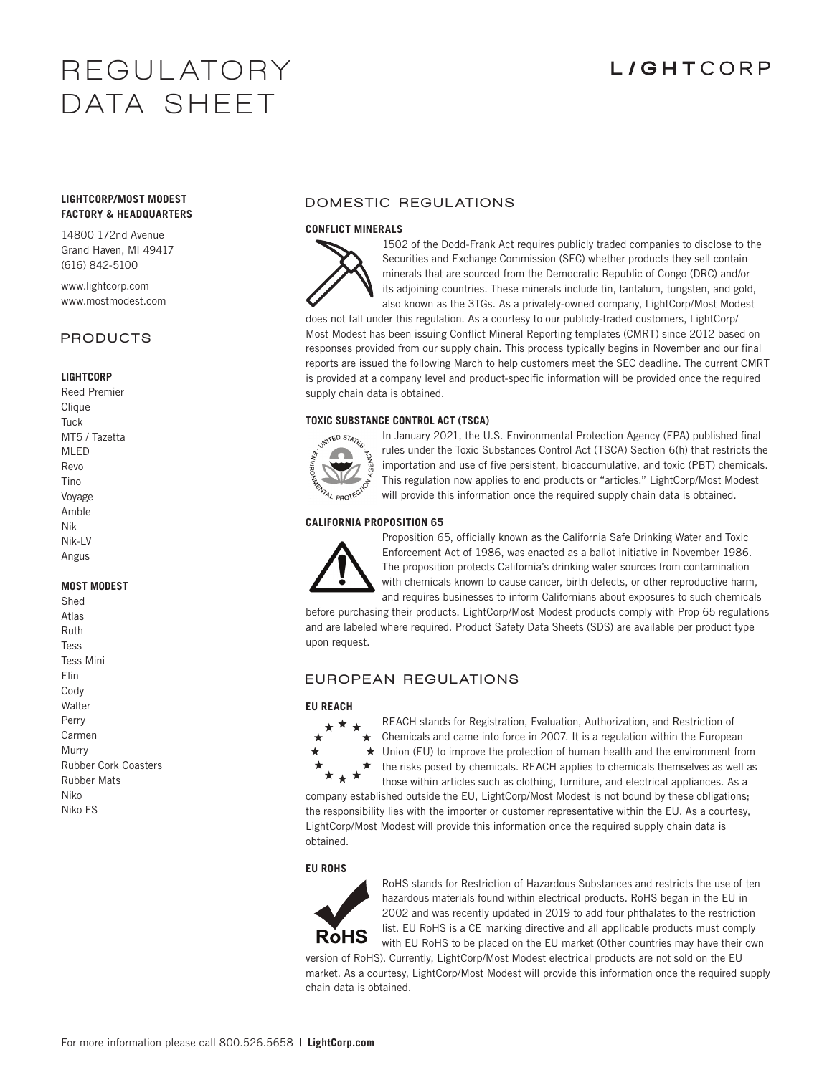# **R E G U L AT O R Y DATA SHEE T**

# **LIGHTCORP**

### **LIGHTCORP/MOST MODEST FACTORY & HEADQUARTERS**

14800 172nd Avenue Grand Haven, MI 49417 (616) 842-5100

www.lightcorp.com www.mostmodest.com

### PRODUCTS

### **LIGHTCORP**

Reed Premier Clique Tuck MT5 / Tazetta MLED Revo Tino Voyage Amble Nik Nik-LV Angus

### **MOST MODEST**

| Shed                        |
|-----------------------------|
| Atlas                       |
| Ruth                        |
| Tess                        |
| <b>Tess Mini</b>            |
| Elin                        |
| Cody                        |
| Walter                      |
| Perry                       |
| Carmen                      |
| Murry                       |
| <b>Rubber Cork Coasters</b> |
| <b>Rubber Mats</b>          |
| Niko                        |
| Niko FS                     |

# DOMESTIC REGULATIONS

### **CONFLICT MINERALS**



1502 of the Dodd-Frank Act requires publicly traded companies to disclose to the Securities and Exchange Commission (SEC) whether products they sell contain minerals that are sourced from the Democratic Republic of Congo (DRC) and/or its adjoining countries. These minerals include tin, tantalum, tungsten, and gold, also known as the 3TGs. As a privately-owned company, LightCorp/Most Modest

does not fall under this regulation. As a courtesy to our publicly-traded customers, LightCorp/ Most Modest has been issuing Conflict Mineral Reporting templates (CMRT) since 2012 based on responses provided from our supply chain. This process typically begins in November and our final reports are issued the following March to help customers meet the SEC deadline. The current CMRT is provided at a company level and product-specific information will be provided once the required supply chain data is obtained.

### **TOXIC SUBSTANCE CONTROL ACT (TSCA)**



In January 2021, the U.S. Environmental Protection Agency (EPA) published final rules under the Toxic Substances Control Act (TSCA) Section 6(h) that restricts the importation and use of five persistent, bioaccumulative, and toxic (PBT) chemicals. This regulation now applies to end products or "articles." LightCorp/Most Modest will provide this information once the required supply chain data is obtained.

### **CALIFORNIA PROPOSITION 65**



Proposition 65, officially known as the California Safe Drinking Water and Toxic Enforcement Act of 1986, was enacted as a ballot initiative in November 1986. The proposition protects California's drinking water sources from contamination with chemicals known to cause cancer, birth defects, or other reproductive harm, and requires businesses to inform Californians about exposures to such chemicals

before purchasing their products. LightCorp/Most Modest products comply with Prop 65 regulations and are labeled where required. Product Safety Data Sheets (SDS) are available per product type upon request.

## EUROPEAN REGULATIONS

### **EU REACH**



REACH stands for Registration, Evaluation, Authorization, and Restriction of Chemicals and came into force in 2007. It is a regulation within the European Union (EU) to improve the protection of human health and the environment from the risks posed by chemicals. REACH applies to chemicals themselves as well as those within articles such as clothing, furniture, and electrical appliances. As a

company established outside the EU, LightCorp/Most Modest is not bound by these obligations; the responsibility lies with the importer or customer representative within the EU. As a courtesy, LightCorp/Most Modest will provide this information once the required supply chain data is obtained.

### **EU ROHS**



RoHS stands for Restriction of Hazardous Substances and restricts the use of ten hazardous materials found within electrical products. RoHS began in the EU in 2002 and was recently updated in 2019 to add four phthalates to the restriction list. EU RoHS is a CE marking directive and all applicable products must comply with EU RoHS to be placed on the EU market (Other countries may have their own

version of RoHS). Currently, LightCorp/Most Modest electrical products are not sold on the EU market. As a courtesy, LightCorp/Most Modest will provide this information once the required supply chain data is obtained.